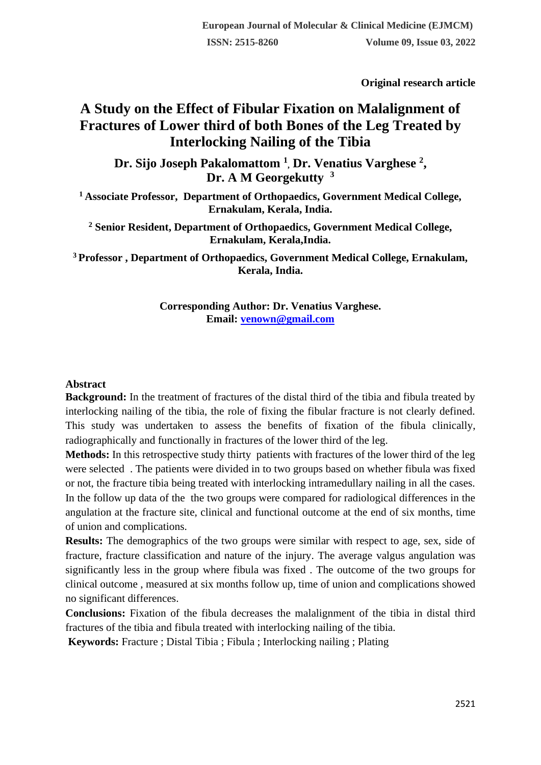**Original research article** 

# **A Study on the Effect of Fibular Fixation on Malalignment of Fractures of Lower third of both Bones of the Leg Treated by Interlocking Nailing of the Tibia**

**Dr. Sijo Joseph Pakalomattom <sup>1</sup> , Dr. Venatius Varghese <sup>2</sup> , Dr. A M Georgekutty <sup>3</sup>**

**<sup>1</sup>Associate Professor, Department of Orthopaedics, Government Medical College, Ernakulam, Kerala, India.**

**<sup>2</sup> Senior Resident, Department of Orthopaedics, Government Medical College, Ernakulam, Kerala,India.**

**<sup>3</sup>Professor , Department of Orthopaedics, Government Medical College, Ernakulam, Kerala, India.**

> **Corresponding Author: Dr. Venatius Varghese. Email: [venown@gmail.com](mailto:venown@gmail.com)**

#### **Abstract**

**Background:** In the treatment of fractures of the distal third of the tibia and fibula treated by interlocking nailing of the tibia, the role of fixing the fibular fracture is not clearly defined. This study was undertaken to assess the benefits of fixation of the fibula clinically, radiographically and functionally in fractures of the lower third of the leg.

**Methods:** In this retrospective study thirty patients with fractures of the lower third of the leg were selected . The patients were divided in to two groups based on whether fibula was fixed or not, the fracture tibia being treated with interlocking intramedullary nailing in all the cases. In the follow up data of the the two groups were compared for radiological differences in the angulation at the fracture site, clinical and functional outcome at the end of six months, time of union and complications.

**Results:** The demographics of the two groups were similar with respect to age, sex, side of fracture, fracture classification and nature of the injury. The average valgus angulation was significantly less in the group where fibula was fixed . The outcome of the two groups for clinical outcome , measured at six months follow up, time of union and complications showed no significant differences.

**Conclusions:** Fixation of the fibula decreases the malalignment of the tibia in distal third fractures of the tibia and fibula treated with interlocking nailing of the tibia.

**Keywords:** Fracture ; Distal Tibia ; Fibula ; Interlocking nailing ; Plating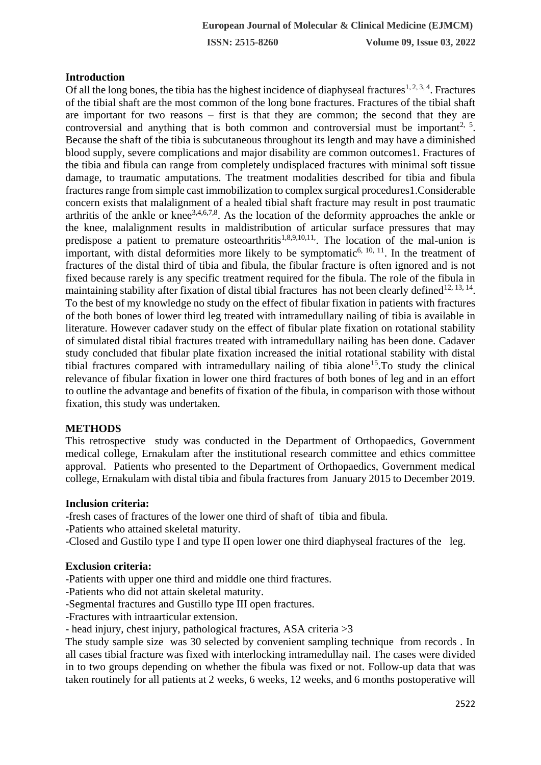# **Introduction**

Of all the long bones, the tibia has the highest incidence of diaphyseal fractures<sup>1, 2, 3, 4</sup>. Fractures of the tibial shaft are the most common of the long bone fractures. Fractures of the tibial shaft are important for two reasons – first is that they are common; the second that they are controversial and anything that is both common and controversial must be important<sup>2, 5</sup>. Because the shaft of the tibia is subcutaneous throughout its length and may have a diminished blood supply, severe complications and major disability are common outcomes1. Fractures of the tibia and fibula can range from completely undisplaced fractures with minimal soft tissue damage, to traumatic amputations. The treatment modalities described for tibia and fibula fractures range from simple cast immobilization to complex surgical procedures1.Considerable concern exists that malalignment of a healed tibial shaft fracture may result in post traumatic arthritis of the ankle or knee3,4,6,7,8. As the location of the deformity approaches the ankle or the knee, malalignment results in maldistribution of articular surface pressures that may predispose a patient to premature osteoarthritis<sup>1,8,9,10,11</sup>. The location of the mal-union is important, with distal deformities more likely to be symptomatic<sup>6, 10, 11</sup>. In the treatment of fractures of the distal third of tibia and fibula, the fibular fracture is often ignored and is not fixed because rarely is any specific treatment required for the fibula. The role of the fibula in maintaining stability after fixation of distal tibial fractures has not been clearly defined<sup>12, 13, 14</sup>. To the best of my knowledge no study on the effect of fibular fixation in patients with fractures of the both bones of lower third leg treated with intramedullary nailing of tibia is available in literature. However cadaver study on the effect of fibular plate fixation on rotational stability of simulated distal tibial fractures treated with intramedullary nailing has been done. Cadaver study concluded that fibular plate fixation increased the initial rotational stability with distal tibial fractures compared with intramedullary nailing of tibia alone<sup>15</sup>. To study the clinical relevance of fibular fixation in lower one third fractures of both bones of leg and in an effort to outline the advantage and benefits of fixation of the fibula, in comparison with those without fixation, this study was undertaken.

#### **METHODS**

This retrospective study was conducted in the Department of Orthopaedics, Government medical college, Ernakulam after the institutional research committee and ethics committee approval. Patients who presented to the Department of Orthopaedics, Government medical college, Ernakulam with distal tibia and fibula fractures from January 2015 to December 2019.

#### **Inclusion criteria:**

-fresh cases of fractures of the lower one third of shaft of tibia and fibula.

- -Patients who attained skeletal maturity.
- -Closed and Gustilo type I and type II open lower one third diaphyseal fractures of the leg.

#### **Exclusion criteria:**

-Patients with upper one third and middle one third fractures.

- -Patients who did not attain skeletal maturity.
- -Segmental fractures and Gustillo type III open fractures.
- -Fractures with intraarticular extension.
- head injury, chest injury, pathological fractures, ASA criteria >3

The study sample size was 30 selected by convenient sampling technique from records . In all cases tibial fracture was fixed with interlocking intramedullay nail. The cases were divided in to two groups depending on whether the fibula was fixed or not. Follow-up data that was taken routinely for all patients at 2 weeks, 6 weeks, 12 weeks, and 6 months postoperative will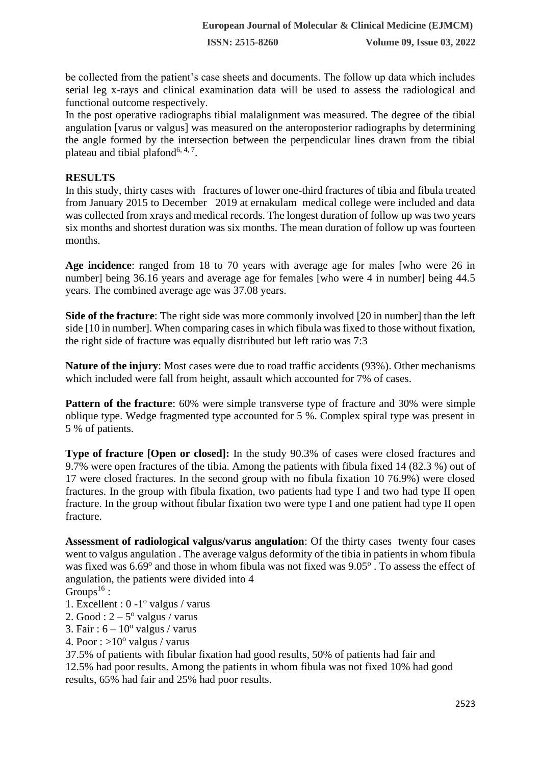be collected from the patient's case sheets and documents. The follow up data which includes serial leg x-rays and clinical examination data will be used to assess the radiological and functional outcome respectively.

In the post operative radiographs tibial malalignment was measured. The degree of the tibial angulation [varus or valgus] was measured on the anteroposterior radiographs by determining the angle formed by the intersection between the perpendicular lines drawn from the tibial plateau and tibial plafond<sup>6, 4, 7</sup>.

## **RESULTS**

In this study, thirty cases with fractures of lower one-third fractures of tibia and fibula treated from January 2015 to December 2019 at ernakulam medical college were included and data was collected from xrays and medical records. The longest duration of follow up was two years six months and shortest duration was six months. The mean duration of follow up was fourteen months.

**Age incidence**: ranged from 18 to 70 years with average age for males [who were 26 in number] being 36.16 years and average age for females [who were 4 in number] being 44.5 years. The combined average age was 37.08 years.

**Side of the fracture**: The right side was more commonly involved [20 in number] than the left side [10 in number]. When comparing cases in which fibula was fixed to those without fixation, the right side of fracture was equally distributed but left ratio was 7:3

**Nature of the injury**: Most cases were due to road traffic accidents (93%). Other mechanisms which included were fall from height, assault which accounted for 7% of cases.

**Pattern of the fracture**: 60% were simple transverse type of fracture and 30% were simple oblique type. Wedge fragmented type accounted for 5 %. Complex spiral type was present in 5 % of patients.

**Type of fracture [Open or closed]:** In the study 90.3% of cases were closed fractures and 9.7% were open fractures of the tibia. Among the patients with fibula fixed 14 (82.3 %) out of 17 were closed fractures. In the second group with no fibula fixation 10 76.9%) were closed fractures. In the group with fibula fixation, two patients had type I and two had type II open fracture. In the group without fibular fixation two were type I and one patient had type II open fracture.

**Assessment of radiological valgus/varus angulation**: Of the thirty cases twenty four cases went to valgus angulation . The average valgus deformity of the tibia in patients in whom fibula was fixed was 6.69° and those in whom fibula was not fixed was 9.05°. To assess the effect of angulation, the patients were divided into 4

- Groups<sup>16</sup>:
- 1. Excellent : 0 -1<sup>°</sup> valgus / varus
- 2. Good :  $2 5^{\circ}$  valgus / varus
- 3. Fair:  $6 10^{\circ}$  valgus / varus
- 4. Poor :  $>10^{\circ}$  valgus / varus

37.5% of patients with fibular fixation had good results, 50% of patients had fair and 12.5% had poor results. Among the patients in whom fibula was not fixed 10% had good results, 65% had fair and 25% had poor results.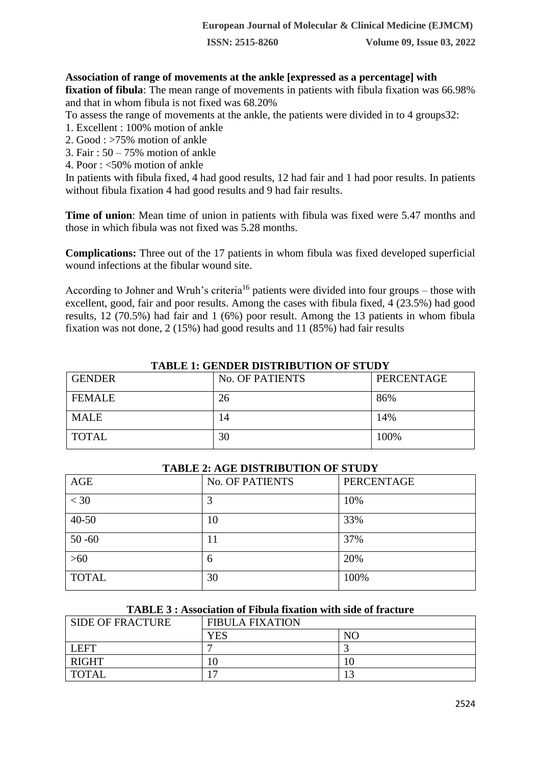**ISSN: 2515-8260 Volume 09, Issue 03, 2022**

## **Association of range of movements at the ankle [expressed as a percentage] with**

**fixation of fibula**: The mean range of movements in patients with fibula fixation was 66.98% and that in whom fibula is not fixed was 68.20%

To assess the range of movements at the ankle, the patients were divided in to 4 groups32:

- 1. Excellent : 100% motion of ankle
- 2. Good : >75% motion of ankle
- 3. Fair : 50 75% motion of ankle
- 4. Poor : <50% motion of ankle

In patients with fibula fixed, 4 had good results, 12 had fair and 1 had poor results. In patients without fibula fixation 4 had good results and 9 had fair results.

**Time of union**: Mean time of union in patients with fibula was fixed were 5.47 months and those in which fibula was not fixed was 5.28 months.

**Complications:** Three out of the 17 patients in whom fibula was fixed developed superficial wound infections at the fibular wound site.

According to Johner and Wruh's criteria<sup>16</sup> patients were divided into four groups – those with excellent, good, fair and poor results. Among the cases with fibula fixed, 4 (23.5%) had good results, 12 (70.5%) had fair and 1 (6%) poor result. Among the 13 patients in whom fibula fixation was not done, 2 (15%) had good results and 11 (85%) had fair results

| <b>GENDER</b> | <b>No. OF PATIENTS</b> | PERCENTAGE |  |
|---------------|------------------------|------------|--|
| <b>FEMALE</b> | 26                     | 86%        |  |
| <b>MALE</b>   | 14                     | 14%        |  |
| <b>TOTAL</b>  | 30                     | 100%       |  |

#### **TABLE 1: GENDER DISTRIBUTION OF STUDY**

| TADLE 2: AGE DISTRIBUTION OF STUDY |                        |                   |  |
|------------------------------------|------------------------|-------------------|--|
| AGE                                | <b>No. OF PATIENTS</b> | <b>PERCENTAGE</b> |  |
| $<$ 30                             | 3                      | 10%               |  |
| $40 - 50$                          | 10                     | 33%               |  |
| $50 - 60$                          | 11                     | 37%               |  |
| $>60$                              | 6                      | 20%               |  |
| <b>TOTAL</b>                       | 30                     | 100%              |  |

## **TABLE 2: AGE DISTRIBUTION OF STUDY**

#### **TABLE 3 : Association of Fibula fixation with side of fracture**

| <b>SIDE OF FRACTURE</b> | <b>FIBULA FIXATION</b> |                |
|-------------------------|------------------------|----------------|
|                         | YES                    | N <sub>C</sub> |
| <b>LEFT</b>             |                        |                |
| <b>RIGHT</b>            |                        |                |
| <b>TOTAL</b>            |                        |                |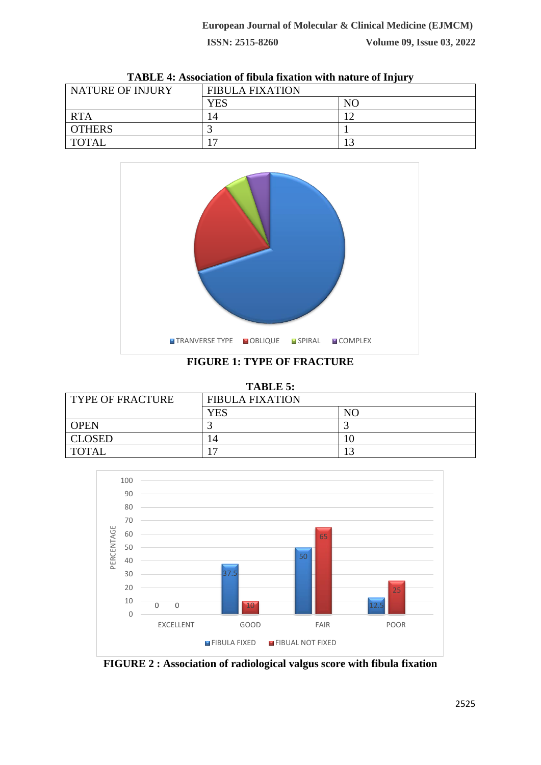| NATURE OF INJURY | <b>FIBULA FIXATION</b> |     |
|------------------|------------------------|-----|
|                  | <b>YES</b>             | NO. |
| <b>RTA</b>       | 14                     |     |
| <b>OTHERS</b>    |                        |     |
| <b>TOTAL</b>     |                        |     |

**TABLE 4: Association of fibula fixation with nature of Injury**



**FIGURE 1: TYPE OF FRACTURE**

| <b>TABLE 5:</b>  |                        |    |  |
|------------------|------------------------|----|--|
| TYPE OF FRACTURE | <b>FIBULA FIXATION</b> |    |  |
|                  | YES                    | NC |  |
| <b>OPEN</b>      |                        |    |  |
| <b>CLOSED</b>    | 14                     |    |  |
| <b>TOTAL</b>     |                        |    |  |



**FIGURE 2 : Association of radiological valgus score with fibula fixation**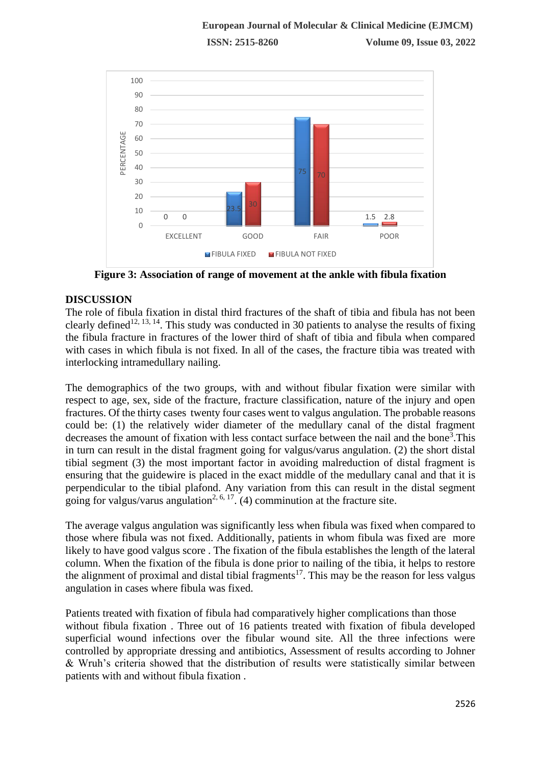

**Figure 3: Association of range of movement at the ankle with fibula fixation**

# **DISCUSSION**

The role of fibula fixation in distal third fractures of the shaft of tibia and fibula has not been clearly defined<sup>12, 13, 14</sup>. This study was conducted in 30 patients to analyse the results of fixing the fibula fracture in fractures of the lower third of shaft of tibia and fibula when compared with cases in which fibula is not fixed. In all of the cases, the fracture tibia was treated with interlocking intramedullary nailing.

The demographics of the two groups, with and without fibular fixation were similar with respect to age, sex, side of the fracture, fracture classification, nature of the injury and open fractures. Of the thirty cases twenty four cases went to valgus angulation. The probable reasons could be: (1) the relatively wider diameter of the medullary canal of the distal fragment decreases the amount of fixation with less contact surface between the nail and the bone<sup>3</sup>. This in turn can result in the distal fragment going for valgus/varus angulation. (2) the short distal tibial segment (3) the most important factor in avoiding malreduction of distal fragment is ensuring that the guidewire is placed in the exact middle of the medullary canal and that it is perpendicular to the tibial plafond. Any variation from this can result in the distal segment going for valgus/varus angulation<sup>2, 6, 17</sup>. (4) comminution at the fracture site.

The average valgus angulation was significantly less when fibula was fixed when compared to those where fibula was not fixed. Additionally, patients in whom fibula was fixed are more likely to have good valgus score . The fixation of the fibula establishes the length of the lateral column. When the fixation of the fibula is done prior to nailing of the tibia, it helps to restore the alignment of proximal and distal tibial fragments<sup>17</sup>. This may be the reason for less valgus angulation in cases where fibula was fixed.

Patients treated with fixation of fibula had comparatively higher complications than those without fibula fixation . Three out of 16 patients treated with fixation of fibula developed superficial wound infections over the fibular wound site. All the three infections were controlled by appropriate dressing and antibiotics, Assessment of results according to Johner & Wruh's criteria showed that the distribution of results were statistically similar between patients with and without fibula fixation .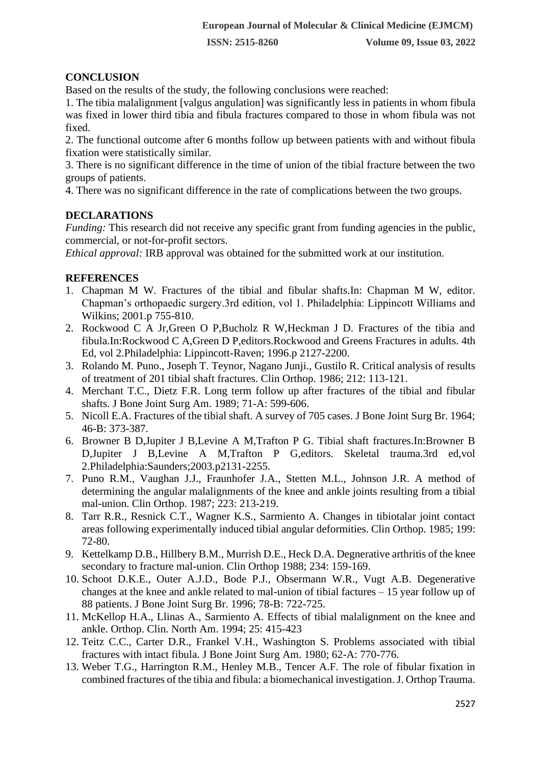**ISSN: 2515-8260 Volume 09, Issue 03, 2022**

# **CONCLUSION**

Based on the results of the study, the following conclusions were reached:

1. The tibia malalignment [valgus angulation] was significantly less in patients in whom fibula was fixed in lower third tibia and fibula fractures compared to those in whom fibula was not fixed.

2. The functional outcome after 6 months follow up between patients with and without fibula fixation were statistically similar.

3. There is no significant difference in the time of union of the tibial fracture between the two groups of patients.

4. There was no significant difference in the rate of complications between the two groups.

## **DECLARATIONS**

*Funding:* This research did not receive any specific grant from funding agencies in the public, commercial, or not-for-profit sectors.

*Ethical approval:* IRB approval was obtained for the submitted work at our institution.

## **REFERENCES**

- 1. Chapman M W. Fractures of the tibial and fibular shafts.In: Chapman M W, editor. Chapman's orthopaedic surgery.3rd edition, vol 1. Philadelphia: Lippincott Williams and Wilkins; 2001.p 755-810.
- 2. Rockwood C A Jr,Green O P,Bucholz R W,Heckman J D. Fractures of the tibia and fibula.In:Rockwood C A,Green D P,editors.Rockwood and Greens Fractures in adults. 4th Ed, vol 2.Philadelphia: Lippincott-Raven; 1996.p 2127-2200.
- 3. Rolando M. Puno., Joseph T. Teynor, Nagano Junji., Gustilo R. Critical analysis of results of treatment of 201 tibial shaft fractures. Clin Orthop. 1986; 212: 113-121.
- 4. Merchant T.C., Dietz F.R. Long term follow up after fractures of the tibial and fibular shafts. J Bone Joint Surg Am. 1989; 71-A: 599-606.
- 5. Nicoll E.A. Fractures of the tibial shaft. A survey of 705 cases. J Bone Joint Surg Br. 1964; 46-B: 373-387.
- 6. Browner B D,Jupiter J B,Levine A M,Trafton P G. Tibial shaft fractures.In:Browner B D,Jupiter J B,Levine A M,Trafton P G,editors. Skeletal trauma.3rd ed,vol 2.Philadelphia:Saunders;2003.p2131-2255.
- 7. Puno R.M., Vaughan J.J., Fraunhofer J.A., Stetten M.L., Johnson J.R. A method of determining the angular malalignments of the knee and ankle joints resulting from a tibial mal-union. Clin Orthop. 1987; 223: 213-219.
- 8. Tarr R.R., Resnick C.T., Wagner K.S., Sarmiento A. Changes in tibiotalar joint contact areas following experimentally induced tibial angular deformities. Clin Orthop. 1985; 199: 72-80.
- 9. Kettelkamp D.B., Hillbery B.M., Murrish D.E., Heck D.A. Degnerative arthritis of the knee secondary to fracture mal-union. Clin Orthop 1988; 234: 159-169.
- 10. Schoot D.K.E., Outer A.J.D., Bode P.J., Obsermann W.R., Vugt A.B. Degenerative changes at the knee and ankle related to mal-union of tibial factures – 15 year follow up of 88 patients. J Bone Joint Surg Br. 1996; 78-B: 722-725.
- 11. McKellop H.A., Llinas A., Sarmiento A. Effects of tibial malalignment on the knee and ankle. Orthop. Clin. North Am. 1994; 25: 415-423
- 12. Teitz C.C., Carter D.R., Frankel V.H., Washington S. Problems associated with tibial fractures with intact fibula. J Bone Joint Surg Am. 1980; 62-A: 770-776.
- 13. Weber T.G., Harrington R.M., Henley M.B., Tencer A.F. The role of fibular fixation in combined fractures of the tibia and fibula: a biomechanical investigation. J. Orthop Trauma.